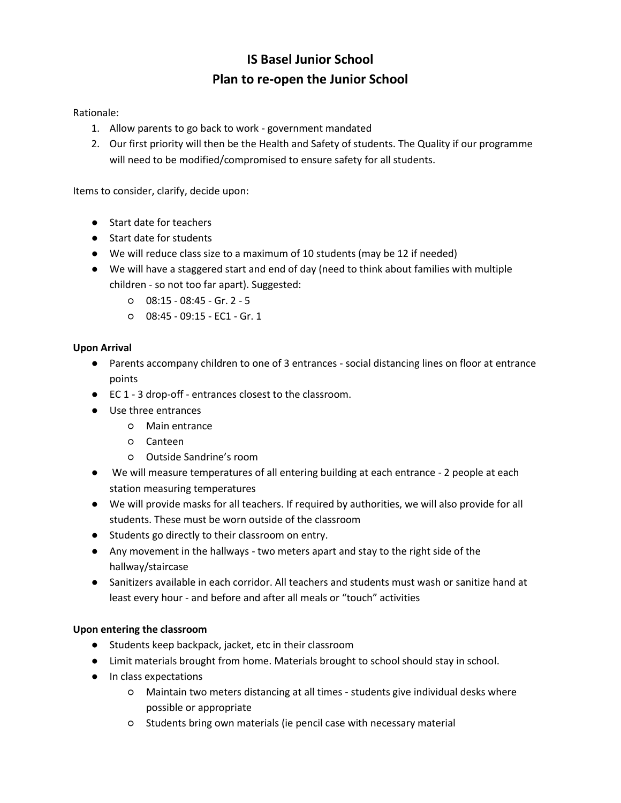# **IS Basel Junior School Plan to re-open the Junior School**

Rationale:

- 1. Allow parents to go back to work government mandated
- 2. Our first priority will then be the Health and Safety of students. The Quality if our programme will need to be modified/compromised to ensure safety for all students.

Items to consider, clarify, decide upon:

- Start date for teachers
- Start date for students
- We will reduce class size to a maximum of 10 students (may be 12 if needed)
- We will have a staggered start and end of day (need to think about families with multiple children - so not too far apart). Suggested:
	- 08:15 08:45 Gr. 2 5
	- 08:45 09:15 EC1 Gr. 1

## **Upon Arrival**

- Parents accompany children to one of 3 entrances social distancing lines on floor at entrance points
- EC 1 3 drop-off entrances closest to the classroom.
- Use three entrances
	- Main entrance
	- Canteen
	- Outside Sandrine's room
- We will measure temperatures of all entering building at each entrance 2 people at each station measuring temperatures
- We will provide masks for all teachers. If required by authorities, we will also provide for all students. These must be worn outside of the classroom
- Students go directly to their classroom on entry.
- Any movement in the hallways two meters apart and stay to the right side of the hallway/staircase
- Sanitizers available in each corridor. All teachers and students must wash or sanitize hand at least every hour - and before and after all meals or "touch" activities

#### **Upon entering the classroom**

- Students keep backpack, jacket, etc in their classroom
- Limit materials brought from home. Materials brought to school should stay in school.
- In class expectations
	- Maintain two meters distancing at all times students give individual desks where possible or appropriate
	- Students bring own materials (ie pencil case with necessary material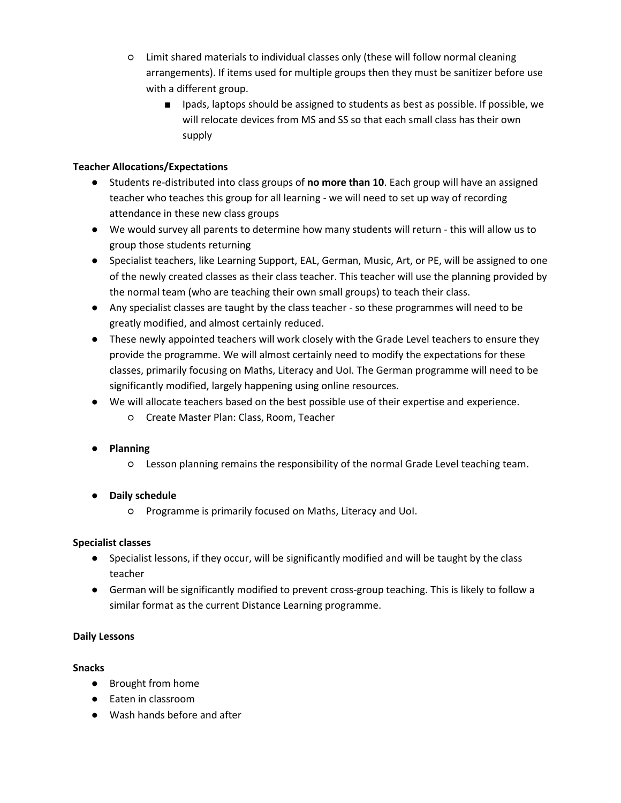- Limit shared materials to individual classes only (these will follow normal cleaning arrangements). If items used for multiple groups then they must be sanitizer before use with a different group.
	- Ipads, laptops should be assigned to students as best as possible. If possible, we will relocate devices from MS and SS so that each small class has their own supply

## **Teacher Allocations/Expectations**

- Students re-distributed into class groups of **no more than 10**. Each group will have an assigned teacher who teaches this group for all learning - we will need to set up way of recording attendance in these new class groups
- We would survey all parents to determine how many students will return this will allow us to group those students returning
- Specialist teachers, like Learning Support, EAL, German, Music, Art, or PE, will be assigned to one of the newly created classes as their class teacher. This teacher will use the planning provided by the normal team (who are teaching their own small groups) to teach their class.
- Any specialist classes are taught by the class teacher so these programmes will need to be greatly modified, and almost certainly reduced.
- These newly appointed teachers will work closely with the Grade Level teachers to ensure they provide the programme. We will almost certainly need to modify the expectations for these classes, primarily focusing on Maths, Literacy and UoI. The German programme will need to be significantly modified, largely happening using online resources.
- We will allocate teachers based on the best possible use of their expertise and experience.
	- Create Master Plan: Class, Room, Teacher
- **Planning**
	- Lesson planning remains the responsibility of the normal Grade Level teaching team.

# ● **Daily schedule**

○ Programme is primarily focused on Maths, Literacy and UoI.

# **Specialist classes**

- Specialist lessons, if they occur, will be significantly modified and will be taught by the class teacher
- German will be significantly modified to prevent cross-group teaching. This is likely to follow a similar format as the current Distance Learning programme.

#### **Daily Lessons**

#### **Snacks**

- Brought from home
- Eaten in classroom
- Wash hands before and after